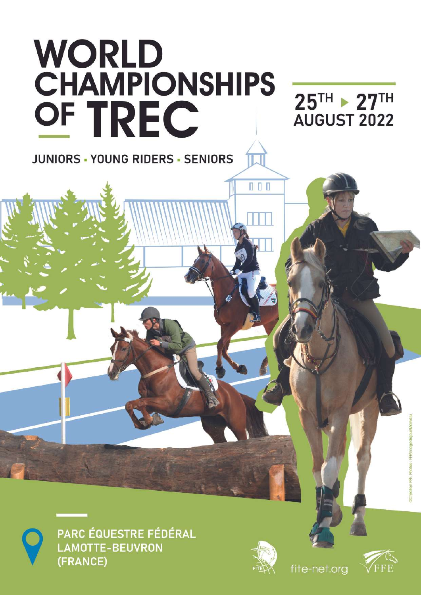



PARC ÉQUESTRE FÉDÉRAL LAMOTTE-BEUVRON (FRANCE)



fite-net.org

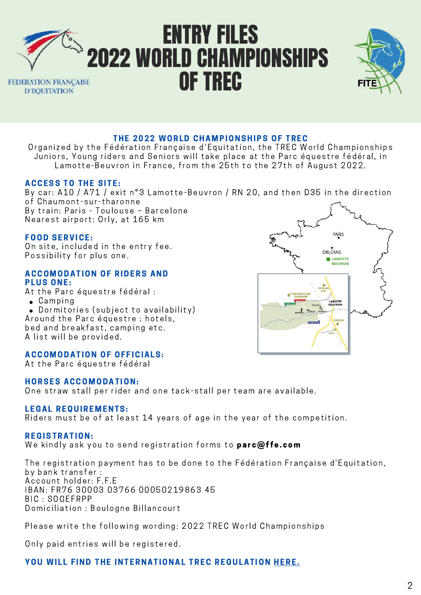



#### THE 2022 WORLD CHAMPIONSHIPS OF TREC

Organized by the Fédération Francaise d'Equitation, the TREC World Championships Juniors, Young riders and Seniors will take place at the Parc équestre fédéral, in Lamotte-Beuvron in France, from the 25th to the 27th of August 2022.

#### **ACCESS TO THE SITE:**

By car: A10 / A71 / exit n°3 Lamotte-Beuvron / RN 20, and then D35 in the direction of Chaumont-sur-tharonne By train: Paris - Toulouse - Barcelone Nearest airport: Orly, at 165 km

#### FOOD SERVICE:

On site, included in the entry fee. Possibility for plus one.

#### **ACCOMODATION OF RIDERS AND** PLUS ONE:

At the Parc équestre fédéral :

- $\bullet$  Camping
- . Dormitories (subject to availability) Around the Parc équestre : hotels, bed and breakfast, camping etc. A list will be provided.

#### **ACCOMODATION OF OFFICIALS:**

At the Parc équestre fédéral

#### **HORSES ACCOMODATION:**

One straw stall per rider and one tack-stall per team are available.

#### LEGAL REQUIREMENTS:

Riders must be of at least 14 years of age in the year of the competition.

#### REGISTRAT ION:

We kindly ask you to send registration forms to parc@ffe.com

The registration payment has to be done to the Fédération Française d'Equitation, by bank transfer : Account holder: F.F.E IBAN: FR76 30003 03766 00050219863 45 BIC : SOGEFRPP Domiciliation : Boulogne Billancourt

Please write the following wording: 2022 TREC World Championships

Only paid entries will be registered.

#### YOU WILL FIND THE INTERNATIONAL TREC REGULATION [HERE.](https://fite-net.org/wp-content/uploads/2022/02/FITE-Reglt-TREC-2022-EN.pdf)

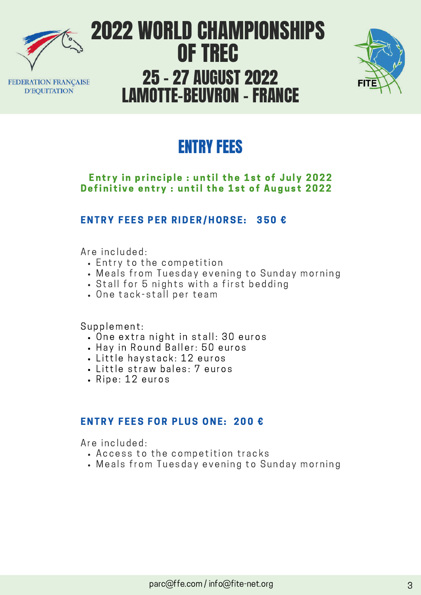

**D'EQUITATION** 

2022 WORLD CHAMPIONSHIPS OF TREC 25 – 27 AUGUST 2022 FEDERATION FRANÇAISE LAMOTTE-BEUVRON – FRANCE



## ENTRY FEES

#### Entry in principle : until the 1st of July 2022 Definitive entry : until the 1st of August 2022

### ENTRY FEES PER RIDER/HORSE: 350 €

Are included:

- $\cdot$  Entry to the competition
- . Meals from Tuesday evening to Sunday morning
- . Stall for 5 nights with a first bedding
- One tack-stall per team

Supplement:

- . One extra night in stall: 30 euros
- Hay in Round Baller: 50 euros
- Little havstack: 12 euros
- Little straw bales: 7 euros
- Ripe: 12 euros

### ENTRY FEES FOR PLUS ONE: 200 €

Are included:

- Access to the competition tracks
- Meals from Tuesday evening to Sunday morning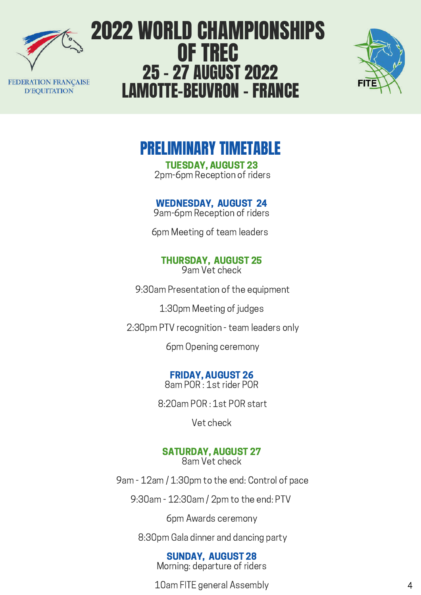

FEDERATION FRANCAISE **D'EQUITATION** 

# 2022 WORLD CHAMPIONSHIPS OF TREC 25 – 27 AUGUST 2022 LAMOTTE-BEUVRON – FRANCE



## PRELIMINARY TIMETABLE

TUESDAY, AUGUST 23 2pm-6pm Reception of riders

## WEDNESDAY, AUGUST 24

9am-6pm Reception of riders

6pm Meeting of team leaders

#### THURSDAY, AUGUST 25 9am Vet check

9:30am Presentation of the equipment

1:30pm Meeting of judges

2:30pm PTV recognition - team leaders only

6pm Opening ceremony

#### FRIDAY, AUGUST 26 8am POR : 1st rider POR

8:20am POR : 1st POR start

Vet check

### SATURDAY, AUGUST 27

8am Vet check

9am - 12am / 1:30pm to the end: Control of pace

9:30am - 12:30am / 2pm to the end: PTV

6pm Awards ceremony

8:30pm Gala dinner and dancing party

### SUNDAY, AUGUST 28

Morning: departure of riders

10am FITE general Assembly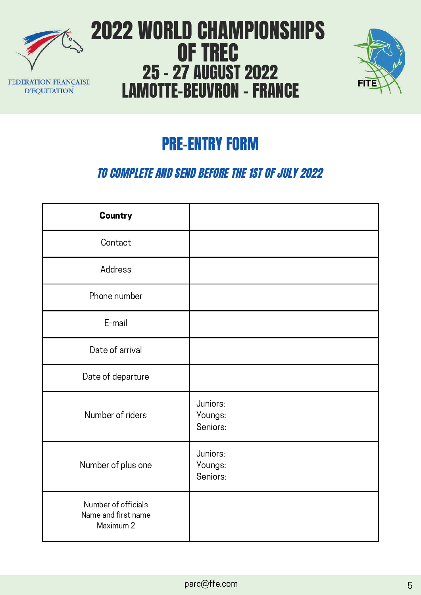



# PRE-ENTRY FORM

## TO COMPLETE AND SEND BEFORE THE 1ST OF JULY 2022

| Country                                                 |                                 |
|---------------------------------------------------------|---------------------------------|
| Contact                                                 |                                 |
| Address                                                 |                                 |
| Phone number                                            |                                 |
| E-mail                                                  |                                 |
| Date of arrival                                         |                                 |
| Date of departure                                       |                                 |
| Number of riders                                        | Juniors:<br>Youngs:<br>Seniors: |
| Number of plus one                                      | Juniors:<br>Youngs:<br>Seniors: |
| Number of officials<br>Name and first name<br>Maximum 2 |                                 |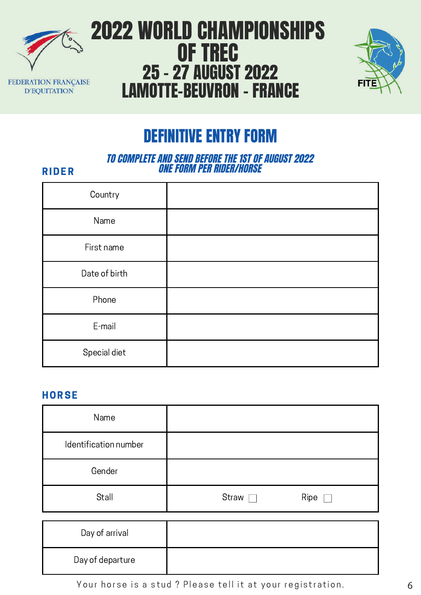



## DEFINITIVE ENTRY FORM

#### TO COMPLETE AND SEND BEFORE THE 1ST OF AUGUST 2022 ONE FORM PER RIDER/HORSE

#### RIDER

| Country       |  |
|---------------|--|
| Name          |  |
| First name    |  |
| Date of birth |  |
| Phone         |  |
| E-mail        |  |
| Special diet  |  |

#### **HORSE**

| Name                  |                 |
|-----------------------|-----------------|
| Identification number |                 |
| Gender                |                 |
| Stall                 | Straw [<br>Ripe |

| Day of arrival   |  |
|------------------|--|
| Day of departure |  |

Your horse is a stud ? Please tell it at your registration.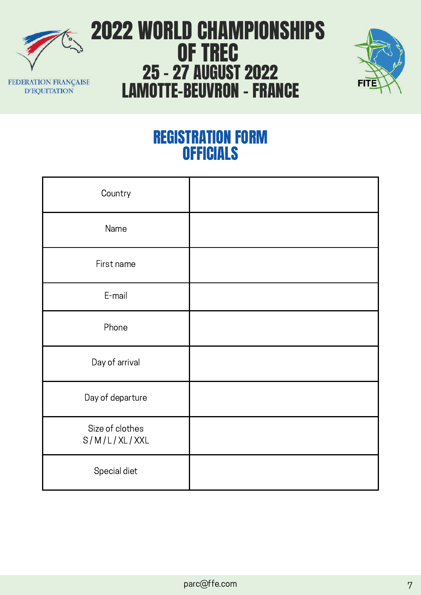



## REGISTRATION FORM **OFFICIALS**

| Country                         |  |
|---------------------------------|--|
| Name                            |  |
| First name                      |  |
| E-mail                          |  |
| Phone                           |  |
| Day of arrival                  |  |
| Day of departure                |  |
| Size of clothes<br>S/M/L/XL/XXL |  |
| Special diet                    |  |